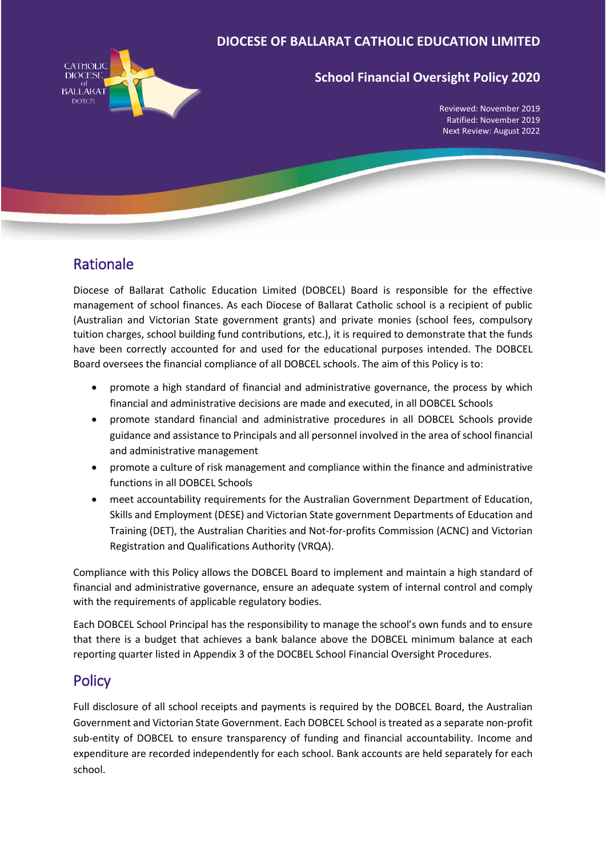

# **School Financial Oversight Policy 2020**

Reviewed: November 2019 Ratified: November 2019 Next Review: August 2022

# Rationale

Diocese of Ballarat Catholic Education Limited (DOBCEL) Board is responsible for the effective management of school finances. As each Diocese of Ballarat Catholic school is a recipient of public (Australian and Victorian State government grants) and private monies (school fees, compulsory tuition charges, school building fund contributions, etc.), it is required to demonstrate that the funds have been correctly accounted for and used for the educational purposes intended. The DOBCEL Board oversees the financial compliance of all DOBCEL schools. The aim of this Policy is to:

- promote a high standard of financial and administrative governance, the process by which financial and administrative decisions are made and executed, in all DOBCEL Schools
- promote standard financial and administrative procedures in all DOBCEL Schools provide guidance and assistance to Principals and all personnel involved in the area of school financial and administrative management
- promote a culture of risk management and compliance within the finance and administrative functions in all DOBCEL Schools
- meet accountability requirements for the Australian Government Department of Education, Skills and Employment (DESE) and Victorian State government Departments of Education and Training (DET), the Australian Charities and Not-for-profits Commission (ACNC) and Victorian Registration and Qualifications Authority (VRQA).

Compliance with this Policy allows the DOBCEL Board to implement and maintain a high standard of financial and administrative governance, ensure an adequate system of internal control and comply with the requirements of applicable regulatory bodies.

Each DOBCEL School Principal has the responsibility to manage the school's own funds and to ensure that there is a budget that achieves a bank balance above the DOBCEL minimum balance at each reporting quarter listed in Appendix 3 of the DOCBEL School Financial Oversight Procedures.

# Policy

Full disclosure of all school receipts and payments is required by the DOBCEL Board, the Australian Government and Victorian State Government. Each DOBCEL School is treated as a separate non-profit sub-entity of DOBCEL to ensure transparency of funding and financial accountability. Income and expenditure are recorded independently for each school. Bank accounts are held separately for each school.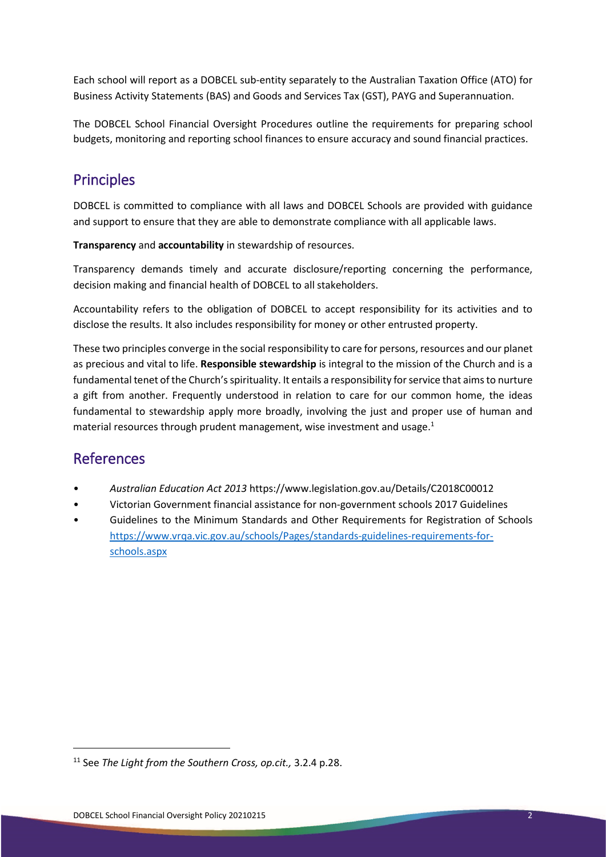Each school will report as a DOBCEL sub-entity separately to the Australian Taxation Office (ATO) for Business Activity Statements (BAS) and Goods and Services Tax (GST), PAYG and Superannuation.

The DOBCEL School Financial Oversight Procedures outline the requirements for preparing school budgets, monitoring and reporting school finances to ensure accuracy and sound financial practices.

# Principles

DOBCEL is committed to compliance with all laws and DOBCEL Schools are provided with guidance and support to ensure that they are able to demonstrate compliance with all applicable laws.

**Transparency** and **accountability** in stewardship of resources.

Transparency demands timely and accurate disclosure/reporting concerning the performance, decision making and financial health of DOBCEL to all stakeholders.

Accountability refers to the obligation of DOBCEL to accept responsibility for its activities and to disclose the results. It also includes responsibility for money or other entrusted property.

These two principles converge in the social responsibility to care for persons, resources and our planet as precious and vital to life. **Responsible stewardship** is integral to the mission of the Church and is a fundamental tenet of the Church's spirituality. It entails a responsibility for service that aims to nurture a gift from another. Frequently understood in relation to care for our common home, the ideas fundamental to stewardship apply more broadly, involving the just and proper use of human and material resources through prudent management, wise investment and usage.<sup>1</sup>

# References

 $\overline{a}$ 

- *Australian Education Act 2013* https://www.legislation.gov.au/Details/C2018C00012
- Victorian Government financial assistance for non-government schools 2017 Guidelines
- Guidelines to the Minimum Standards and Other Requirements for Registration of Schools [https://www.vrqa.vic.gov.au/schools/Pages/standards-guidelines-requirements-for](https://www.vrqa.vic.gov.au/schools/Pages/standards-guidelines-requirements-for-schools.aspx)[schools.aspx](https://www.vrqa.vic.gov.au/schools/Pages/standards-guidelines-requirements-for-schools.aspx)

<sup>11</sup> See *The Light from the Southern Cross, op.cit.,* 3.2.4 p.28.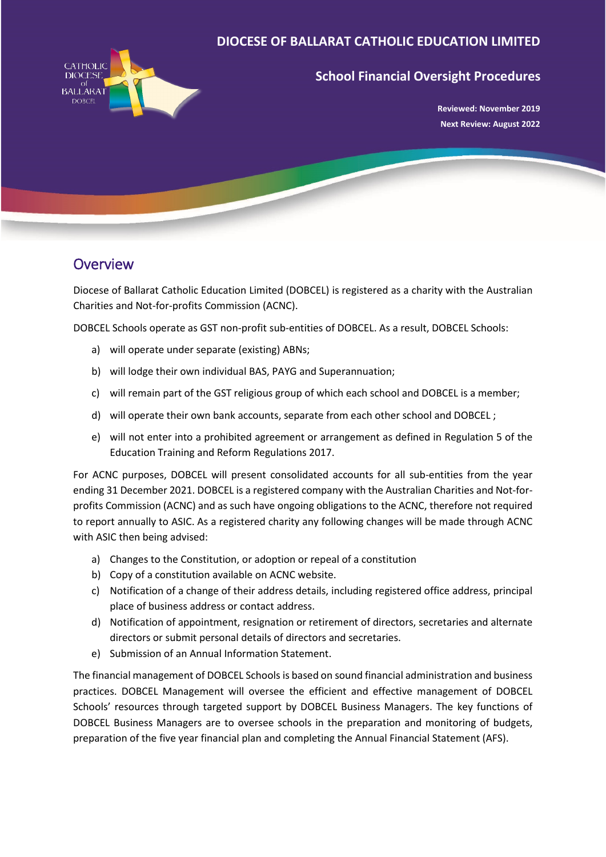

# **School Financial Oversight Procedures**

**Reviewed: November 2019 Next Review: August 2022**

# **Overview**

Diocese of Ballarat Catholic Education Limited (DOBCEL) is registered as a charity with the Australian Charities and Not-for-profits Commission (ACNC).

DOBCEL Schools operate as GST non-profit sub-entities of DOBCEL. As a result, DOBCEL Schools:

- a) will operate under separate (existing) ABNs;
- b) will lodge their own individual BAS, PAYG and Superannuation;
- c) will remain part of the GST religious group of which each school and DOBCEL is a member;
- d) will operate their own bank accounts, separate from each other school and DOBCEL ;
- e) will not enter into a prohibited agreement or arrangement as defined in Regulation 5 of the Education Training and Reform Regulations 2017.

For ACNC purposes, DOBCEL will present consolidated accounts for all sub-entities from the year ending 31 December 2021. DOBCEL is a registered company with the Australian Charities and Not-forprofits Commission (ACNC) and as such have ongoing obligations to the ACNC, therefore not required to report annually to ASIC. As a registered charity any following changes will be made through ACNC with ASIC then being advised:

- a) Changes to the Constitution, or adoption or repeal of a constitution
- b) Copy of a constitution available on ACNC website.
- c) Notification of a change of their address details, including registered office address, principal place of business address or contact address.
- d) Notification of appointment, resignation or retirement of directors, secretaries and alternate directors or submit personal details of directors and secretaries.
- e) Submission of an Annual Information Statement.

The financial management of DOBCEL Schools is based on sound financial administration and business practices. DOBCEL Management will oversee the efficient and effective management of DOBCEL Schools' resources through targeted support by DOBCEL Business Managers. The key functions of DOBCEL Business Managers are to oversee schools in the preparation and monitoring of budgets, preparation of the five year financial plan and completing the Annual Financial Statement (AFS).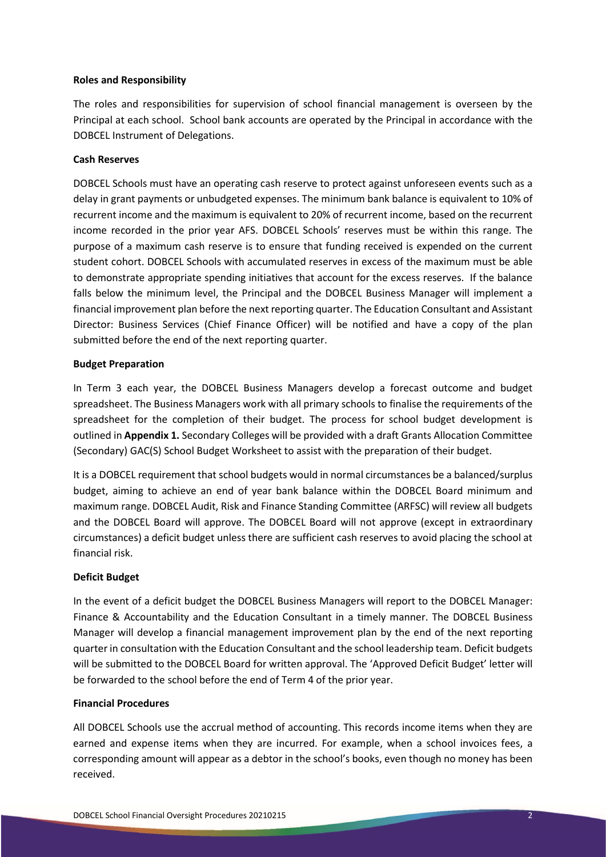#### **Roles and Responsibility**

The roles and responsibilities for supervision of school financial management is overseen by the Principal at each school. School bank accounts are operated by the Principal in accordance with the DOBCEL Instrument of Delegations.

#### **Cash Reserves**

DOBCEL Schools must have an operating cash reserve to protect against unforeseen events such as a delay in grant payments or unbudgeted expenses. The minimum bank balance is equivalent to 10% of recurrent income and the maximum is equivalent to 20% of recurrent income, based on the recurrent income recorded in the prior year AFS. DOBCEL Schools' reserves must be within this range. The purpose of a maximum cash reserve is to ensure that funding received is expended on the current student cohort. DOBCEL Schools with accumulated reserves in excess of the maximum must be able to demonstrate appropriate spending initiatives that account for the excess reserves. If the balance falls below the minimum level, the Principal and the DOBCEL Business Manager will implement a financial improvement plan before the next reporting quarter. The Education Consultant and Assistant Director: Business Services (Chief Finance Officer) will be notified and have a copy of the plan submitted before the end of the next reporting quarter.

#### **Budget Preparation**

In Term 3 each year, the DOBCEL Business Managers develop a forecast outcome and budget spreadsheet. The Business Managers work with all primary schools to finalise the requirements of the spreadsheet for the completion of their budget. The process for school budget development is outlined in **Appendix 1.** Secondary Colleges will be provided with a draft Grants Allocation Committee (Secondary) GAC(S) School Budget Worksheet to assist with the preparation of their budget.

It is a DOBCEL requirement that school budgets would in normal circumstances be a balanced/surplus budget, aiming to achieve an end of year bank balance within the DOBCEL Board minimum and maximum range. DOBCEL Audit, Risk and Finance Standing Committee (ARFSC) will review all budgets and the DOBCEL Board will approve. The DOBCEL Board will not approve (except in extraordinary circumstances) a deficit budget unless there are sufficient cash reserves to avoid placing the school at financial risk.

## **Deficit Budget**

In the event of a deficit budget the DOBCEL Business Managers will report to the DOBCEL Manager: Finance & Accountability and the Education Consultant in a timely manner. The DOBCEL Business Manager will develop a financial management improvement plan by the end of the next reporting quarter in consultation with the Education Consultant and the school leadership team. Deficit budgets will be submitted to the DOBCEL Board for written approval. The 'Approved Deficit Budget' letter will be forwarded to the school before the end of Term 4 of the prior year.

#### **Financial Procedures**

All DOBCEL Schools use the accrual method of accounting. This records income items when they are earned and expense items when they are incurred. For example, when a school invoices fees, a corresponding amount will appear as a debtor in the school's books, even though no money has been received.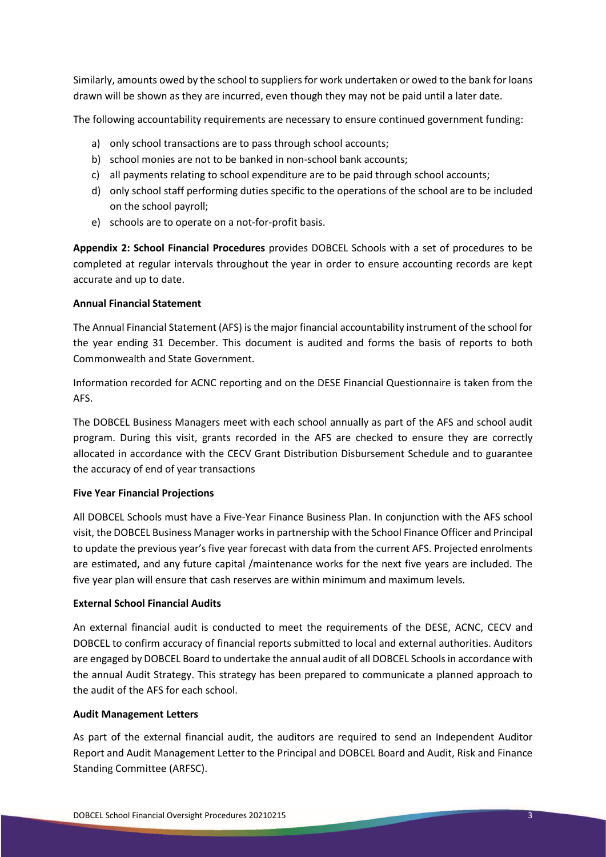Similarly, amounts owed by the school to suppliers for work undertaken or owed to the bank for loans drawn will be shown as they are incurred, even though they may not be paid until a later date.

The following accountability requirements are necessary to ensure continued government funding:

- a) only school transactions are to pass through school accounts;
- b) school monies are not to be banked in non-school bank accounts;
- c) all payments relating to school expenditure are to be paid through school accounts;
- d) only school staff performing duties specific to the operations of the school are to be included on the school payroll;
- e) schools are to operate on a not-for-profit basis.

**Appendix 2: School Financial Procedures** provides DOBCEL Schools with a set of procedures to be completed at regular intervals throughout the year in order to ensure accounting records are kept accurate and up to date.

## **Annual Financial Statement**

The Annual Financial Statement (AFS) is the major financial accountability instrument of the school for the year ending 31 December. This document is audited and forms the basis of reports to both Commonwealth and State Government.

Information recorded for ACNC reporting and on the DESE Financial Questionnaire is taken from the AFS.

The DOBCEL Business Managers meet with each school annually as part of the AFS and school audit program. During this visit, grants recorded in the AFS are checked to ensure they are correctly allocated in accordance with the CECV Grant Distribution Disbursement Schedule and to guarantee the accuracy of end of year transactions

## **Five Year Financial Projections**

All DOBCEL Schools must have a Five-Year Finance Business Plan. In conjunction with the AFS school visit, the DOBCEL Business Manager works in partnership with the School Finance Officer and Principal to update the previous year's five year forecast with data from the current AFS. Projected enrolments are estimated, and any future capital /maintenance works for the next five years are included. The five year plan will ensure that cash reserves are within minimum and maximum levels.

## **External School Financial Audits**

An external financial audit is conducted to meet the requirements of the DESE, ACNC, CECV and DOBCEL to confirm accuracy of financial reports submitted to local and external authorities. Auditors are engaged by DOBCEL Board to undertake the annual audit of all DOBCEL Schools in accordance with the annual Audit Strategy. This strategy has been prepared to communicate a planned approach to the audit of the AFS for each school.

## **Audit Management Letters**

As part of the external financial audit, the auditors are required to send an Independent Auditor Report and Audit Management Letter to the Principal and DOBCEL Board and Audit, Risk and Finance Standing Committee (ARFSC).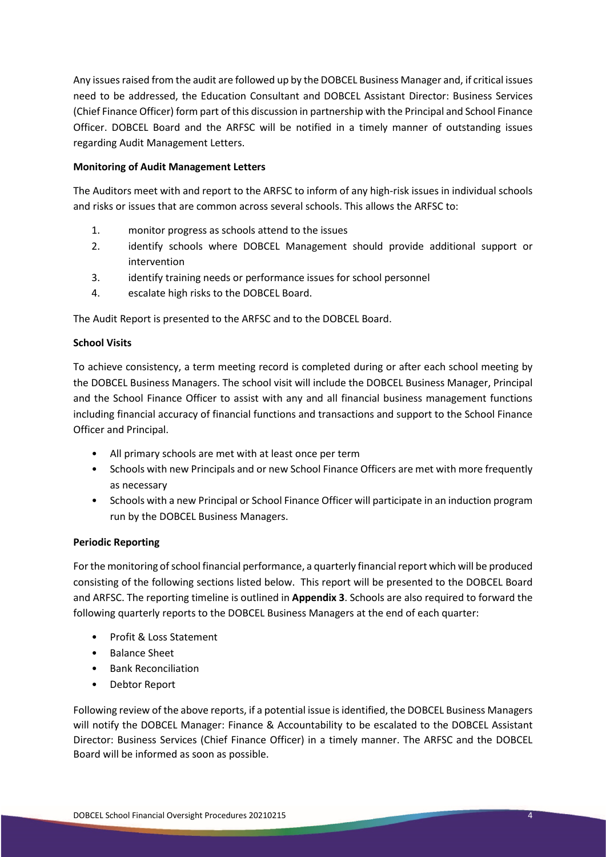Any issues raised from the audit are followed up by the DOBCEL Business Manager and, if critical issues need to be addressed, the Education Consultant and DOBCEL Assistant Director: Business Services (Chief Finance Officer) form part of this discussion in partnership with the Principal and School Finance Officer. DOBCEL Board and the ARFSC will be notified in a timely manner of outstanding issues regarding Audit Management Letters.

## **Monitoring of Audit Management Letters**

The Auditors meet with and report to the ARFSC to inform of any high-risk issues in individual schools and risks or issues that are common across several schools. This allows the ARFSC to:

- 1. monitor progress as schools attend to the issues
- 2. identify schools where DOBCEL Management should provide additional support or intervention
- 3. identify training needs or performance issues for school personnel
- 4. escalate high risks to the DOBCEL Board.

The Audit Report is presented to the ARFSC and to the DOBCEL Board.

## **School Visits**

To achieve consistency, a term meeting record is completed during or after each school meeting by the DOBCEL Business Managers. The school visit will include the DOBCEL Business Manager, Principal and the School Finance Officer to assist with any and all financial business management functions including financial accuracy of financial functions and transactions and support to the School Finance Officer and Principal.

- All primary schools are met with at least once per term
- Schools with new Principals and or new School Finance Officers are met with more frequently as necessary
- Schools with a new Principal or School Finance Officer will participate in an induction program run by the DOBCEL Business Managers.

# **Periodic Reporting**

For the monitoring of school financial performance, a quarterly financial report which will be produced consisting of the following sections listed below. This report will be presented to the DOBCEL Board and ARFSC. The reporting timeline is outlined in **Appendix 3**. Schools are also required to forward the following quarterly reports to the DOBCEL Business Managers at the end of each quarter:

- Profit & Loss Statement
- Balance Sheet
- Bank Reconciliation
- Debtor Report

Following review of the above reports, if a potential issue is identified, the DOBCEL Business Managers will notify the DOBCEL Manager: Finance & Accountability to be escalated to the DOBCEL Assistant Director: Business Services (Chief Finance Officer) in a timely manner. The ARFSC and the DOBCEL Board will be informed as soon as possible.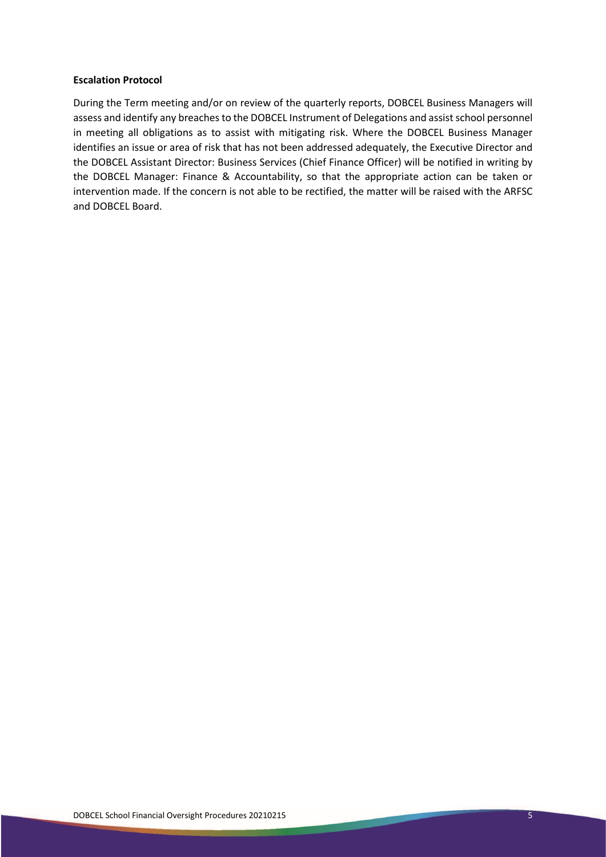#### **Escalation Protocol**

During the Term meeting and/or on review of the quarterly reports, DOBCEL Business Managers will assess and identify any breaches to the DOBCEL Instrument of Delegations and assist school personnel in meeting all obligations as to assist with mitigating risk. Where the DOBCEL Business Manager identifies an issue or area of risk that has not been addressed adequately, the Executive Director and the DOBCEL Assistant Director: Business Services (Chief Finance Officer) will be notified in writing by the DOBCEL Manager: Finance & Accountability, so that the appropriate action can be taken or intervention made. If the concern is not able to be rectified, the matter will be raised with the ARFSC and DOBCEL Board.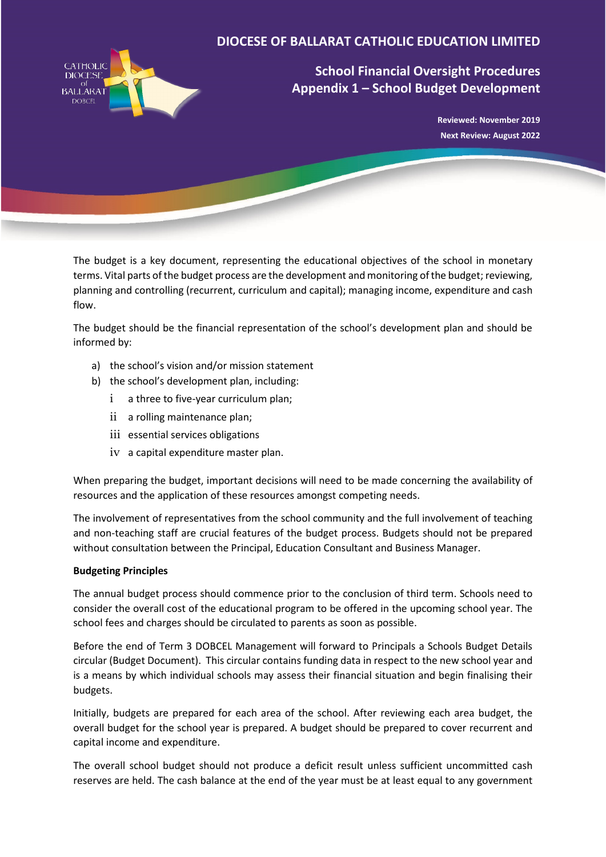

# **School Financial Oversight Procedures Appendix 1 – School Budget Development**

**Reviewed: November 2019 Next Review: August 2022**

The budget is a key document, representing the educational objectives of the school in monetary terms. Vital parts of the budget process are the development and monitoring of the budget; reviewing, planning and controlling (recurrent, curriculum and capital); managing income, expenditure and cash flow.

The budget should be the financial representation of the school's development plan and should be informed by:

- a) the school's vision and/or mission statement
- b) the school's development plan, including:
	- i a three to five-year curriculum plan;
	- ii a rolling maintenance plan;
	- iii essential services obligations
	- iv a capital expenditure master plan.

When preparing the budget, important decisions will need to be made concerning the availability of resources and the application of these resources amongst competing needs.

The involvement of representatives from the school community and the full involvement of teaching and non-teaching staff are crucial features of the budget process. Budgets should not be prepared without consultation between the Principal, Education Consultant and Business Manager.

# **Budgeting Principles**

The annual budget process should commence prior to the conclusion of third term. Schools need to consider the overall cost of the educational program to be offered in the upcoming school year. The school fees and charges should be circulated to parents as soon as possible.

Before the end of Term 3 DOBCEL Management will forward to Principals a Schools Budget Details circular (Budget Document). This circular contains funding data in respect to the new school year and is a means by which individual schools may assess their financial situation and begin finalising their budgets.

Initially, budgets are prepared for each area of the school. After reviewing each area budget, the overall budget for the school year is prepared. A budget should be prepared to cover recurrent and capital income and expenditure.

The overall school budget should not produce a deficit result unless sufficient uncommitted cash reserves are held. The cash balance at the end of the year must be at least equal to any government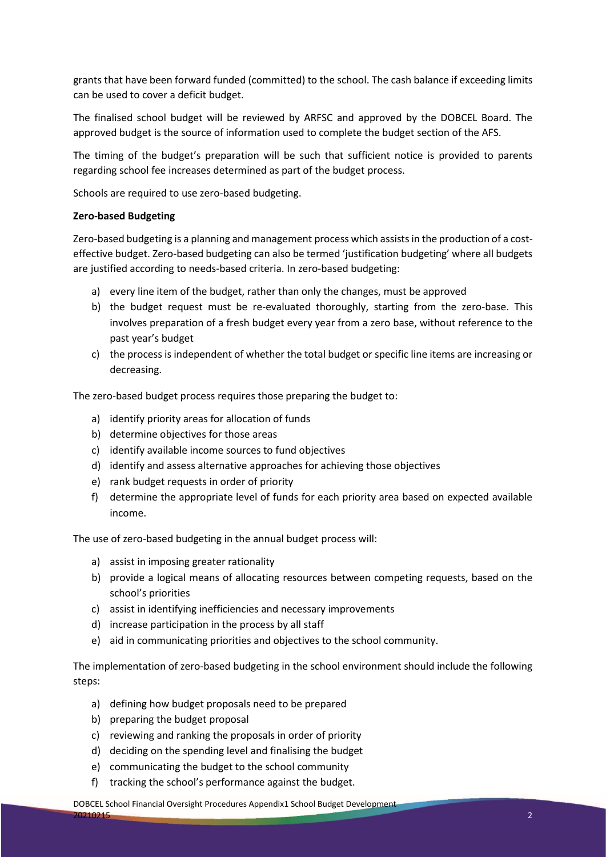grants that have been forward funded (committed) to the school. The cash balance if exceeding limits can be used to cover a deficit budget.

The finalised school budget will be reviewed by ARFSC and approved by the DOBCEL Board. The approved budget is the source of information used to complete the budget section of the AFS.

The timing of the budget's preparation will be such that sufficient notice is provided to parents regarding school fee increases determined as part of the budget process.

Schools are required to use zero-based budgeting.

#### **Zero-based Budgeting**

Zero-based budgeting is a planning and management process which assists in the production of a costeffective budget. Zero-based budgeting can also be termed 'justification budgeting' where all budgets are justified according to needs-based criteria. In zero-based budgeting:

- a) every line item of the budget, rather than only the changes, must be approved
- b) the budget request must be re-evaluated thoroughly, starting from the zero-base. This involves preparation of a fresh budget every year from a zero base, without reference to the past year's budget
- c) the process is independent of whether the total budget or specific line items are increasing or decreasing.

The zero-based budget process requires those preparing the budget to:

- a) identify priority areas for allocation of funds
- b) determine objectives for those areas
- c) identify available income sources to fund objectives
- d) identify and assess alternative approaches for achieving those objectives
- e) rank budget requests in order of priority
- f) determine the appropriate level of funds for each priority area based on expected available income.

The use of zero-based budgeting in the annual budget process will:

- a) assist in imposing greater rationality
- b) provide a logical means of allocating resources between competing requests, based on the school's priorities
- c) assist in identifying inefficiencies and necessary improvements
- d) increase participation in the process by all staff
- e) aid in communicating priorities and objectives to the school community.

The implementation of zero-based budgeting in the school environment should include the following steps:

- a) defining how budget proposals need to be prepared
- b) preparing the budget proposal
- c) reviewing and ranking the proposals in order of priority
- d) deciding on the spending level and finalising the budget
- e) communicating the budget to the school community
- f) tracking the school's performance against the budget.

DOBCEL School Financial Oversight Procedures Appendix1 School Budget Development

20210215 2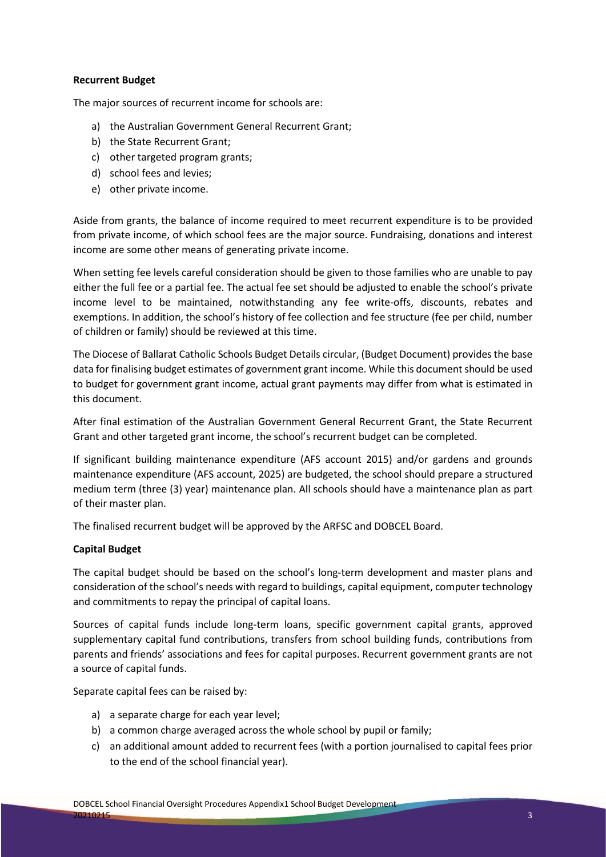## **Recurrent Budget**

The major sources of recurrent income for schools are:

- a) the Australian Government General Recurrent Grant;
- b) the State Recurrent Grant;
- c) other targeted program grants;
- d) school fees and levies;
- e) other private income.

Aside from grants, the balance of income required to meet recurrent expenditure is to be provided from private income, of which school fees are the major source. Fundraising, donations and interest income are some other means of generating private income.

When setting fee levels careful consideration should be given to those families who are unable to pay either the full fee or a partial fee. The actual fee set should be adjusted to enable the school's private income level to be maintained, notwithstanding any fee write-offs, discounts, rebates and exemptions. In addition, the school's history of fee collection and fee structure (fee per child, number of children or family) should be reviewed at this time.

The Diocese of Ballarat Catholic Schools Budget Details circular, (Budget Document) provides the base data for finalising budget estimates of government grant income. While this document should be used to budget for government grant income, actual grant payments may differ from what is estimated in this document.

After final estimation of the Australian Government General Recurrent Grant, the State Recurrent Grant and other targeted grant income, the school's recurrent budget can be completed.

If significant building maintenance expenditure (AFS account 2015) and/or gardens and grounds maintenance expenditure (AFS account, 2025) are budgeted, the school should prepare a structured medium term (three (3) year) maintenance plan. All schools should have a maintenance plan as part of their master plan.

The finalised recurrent budget will be approved by the ARFSC and DOBCEL Board.

# **Capital Budget**

The capital budget should be based on the school's long-term development and master plans and consideration of the school's needs with regard to buildings, capital equipment, computer technology and commitments to repay the principal of capital loans.

Sources of capital funds include long-term loans, specific government capital grants, approved supplementary capital fund contributions, transfers from school building funds, contributions from parents and friends' associations and fees for capital purposes. Recurrent government grants are not a source of capital funds.

Separate capital fees can be raised by:

- a) a separate charge for each year level;
- b) a common charge averaged across the whole school by pupil or family;
- c) an additional amount added to recurrent fees (with a portion journalised to capital fees prior to the end of the school financial year).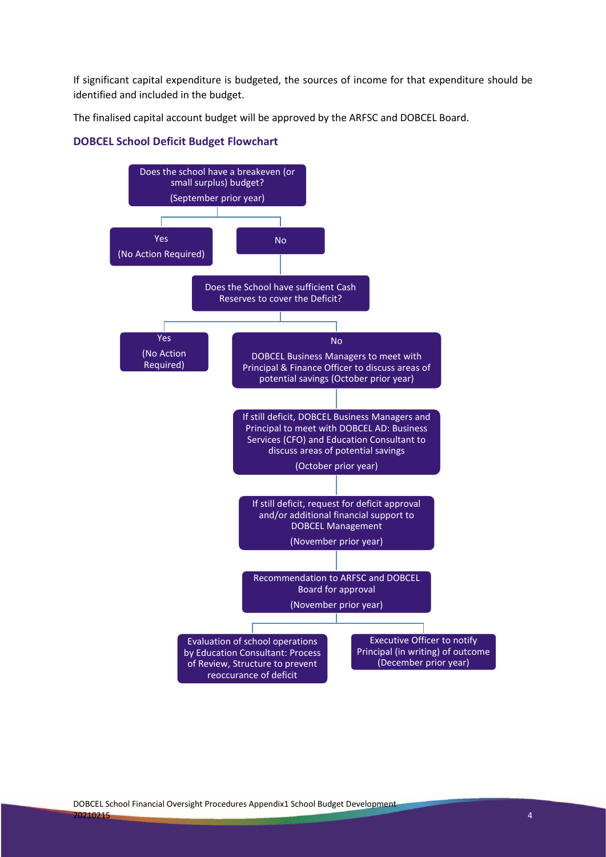If significant capital expenditure is budgeted, the sources of income for that expenditure should be identified and included in the budget.

The finalised capital account budget will be approved by the ARFSC and DOBCEL Board.

## **DOBCEL School Deficit Budget Flowchart**

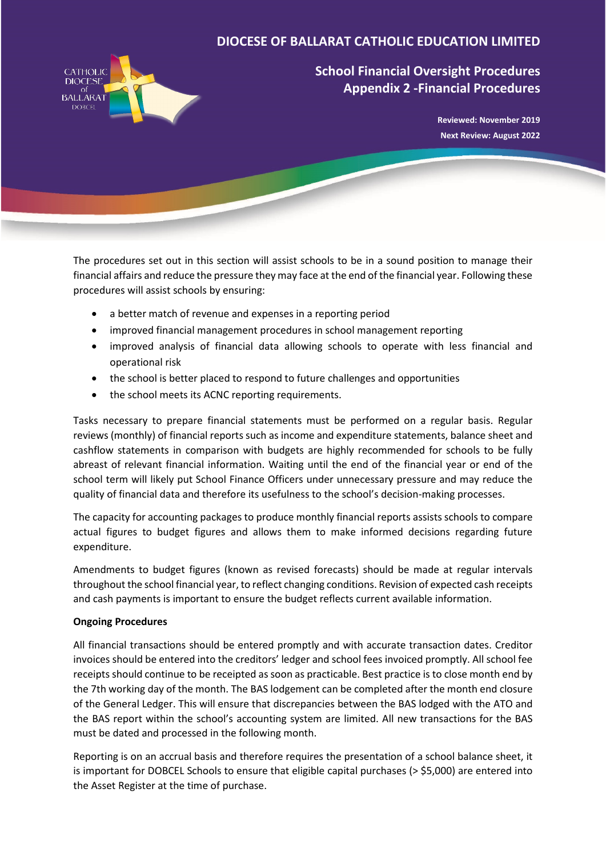

# **School Financial Oversight Procedures Appendix 2 -Financial Procedures**

**Reviewed: November 2019 Next Review: August 2022**

The procedures set out in this section will assist schools to be in a sound position to manage their financial affairs and reduce the pressure they may face at the end of the financial year. Following these procedures will assist schools by ensuring:

- a better match of revenue and expenses in a reporting period
- improved financial management procedures in school management reporting
- improved analysis of financial data allowing schools to operate with less financial and operational risk
- the school is better placed to respond to future challenges and opportunities
- the school meets its ACNC reporting requirements.

Tasks necessary to prepare financial statements must be performed on a regular basis. Regular reviews (monthly) of financial reports such as income and expenditure statements, balance sheet and cashflow statements in comparison with budgets are highly recommended for schools to be fully abreast of relevant financial information. Waiting until the end of the financial year or end of the school term will likely put School Finance Officers under unnecessary pressure and may reduce the quality of financial data and therefore its usefulness to the school's decision-making processes.

The capacity for accounting packages to produce monthly financial reports assists schools to compare actual figures to budget figures and allows them to make informed decisions regarding future expenditure.

Amendments to budget figures (known as revised forecasts) should be made at regular intervals throughout the school financial year, to reflect changing conditions. Revision of expected cash receipts and cash payments is important to ensure the budget reflects current available information.

## **Ongoing Procedures**

All financial transactions should be entered promptly and with accurate transaction dates. Creditor invoices should be entered into the creditors' ledger and school fees invoiced promptly. All school fee receipts should continue to be receipted as soon as practicable. Best practice is to close month end by the 7th working day of the month. The BAS lodgement can be completed after the month end closure of the General Ledger. This will ensure that discrepancies between the BAS lodged with the ATO and the BAS report within the school's accounting system are limited. All new transactions for the BAS must be dated and processed in the following month.

Reporting is on an accrual basis and therefore requires the presentation of a school balance sheet, it is important for DOBCEL Schools to ensure that eligible capital purchases (> \$5,000) are entered into the Asset Register at the time of purchase.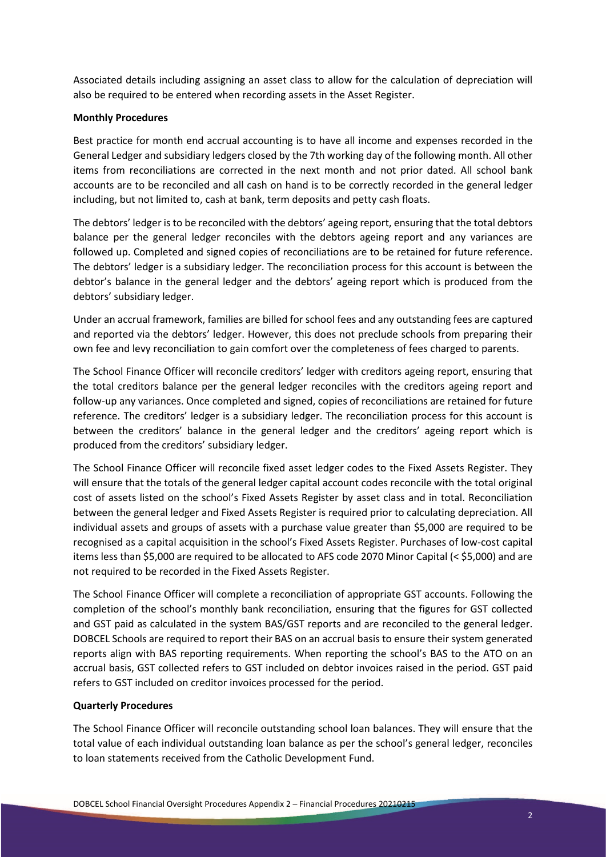Associated details including assigning an asset class to allow for the calculation of depreciation will also be required to be entered when recording assets in the Asset Register.

#### **Monthly Procedures**

Best practice for month end accrual accounting is to have all income and expenses recorded in the General Ledger and subsidiary ledgers closed by the 7th working day of the following month. All other items from reconciliations are corrected in the next month and not prior dated. All school bank accounts are to be reconciled and all cash on hand is to be correctly recorded in the general ledger including, but not limited to, cash at bank, term deposits and petty cash floats.

The debtors' ledger is to be reconciled with the debtors' ageing report, ensuring that the total debtors balance per the general ledger reconciles with the debtors ageing report and any variances are followed up. Completed and signed copies of reconciliations are to be retained for future reference. The debtors' ledger is a subsidiary ledger. The reconciliation process for this account is between the debtor's balance in the general ledger and the debtors' ageing report which is produced from the debtors' subsidiary ledger.

Under an accrual framework, families are billed for school fees and any outstanding fees are captured and reported via the debtors' ledger. However, this does not preclude schools from preparing their own fee and levy reconciliation to gain comfort over the completeness of fees charged to parents.

The School Finance Officer will reconcile creditors' ledger with creditors ageing report, ensuring that the total creditors balance per the general ledger reconciles with the creditors ageing report and follow-up any variances. Once completed and signed, copies of reconciliations are retained for future reference. The creditors' ledger is a subsidiary ledger. The reconciliation process for this account is between the creditors' balance in the general ledger and the creditors' ageing report which is produced from the creditors' subsidiary ledger.

The School Finance Officer will reconcile fixed asset ledger codes to the Fixed Assets Register. They will ensure that the totals of the general ledger capital account codes reconcile with the total original cost of assets listed on the school's Fixed Assets Register by asset class and in total. Reconciliation between the general ledger and Fixed Assets Register is required prior to calculating depreciation. All individual assets and groups of assets with a purchase value greater than \$5,000 are required to be recognised as a capital acquisition in the school's Fixed Assets Register. Purchases of low-cost capital items less than \$5,000 are required to be allocated to AFS code 2070 Minor Capital (< \$5,000) and are not required to be recorded in the Fixed Assets Register.

The School Finance Officer will complete a reconciliation of appropriate GST accounts. Following the completion of the school's monthly bank reconciliation, ensuring that the figures for GST collected and GST paid as calculated in the system BAS/GST reports and are reconciled to the general ledger. DOBCEL Schools are required to report their BAS on an accrual basis to ensure their system generated reports align with BAS reporting requirements. When reporting the school's BAS to the ATO on an accrual basis, GST collected refers to GST included on debtor invoices raised in the period. GST paid refers to GST included on creditor invoices processed for the period.

## **Quarterly Procedures**

The School Finance Officer will reconcile outstanding school loan balances. They will ensure that the total value of each individual outstanding loan balance as per the school's general ledger, reconciles to loan statements received from the Catholic Development Fund.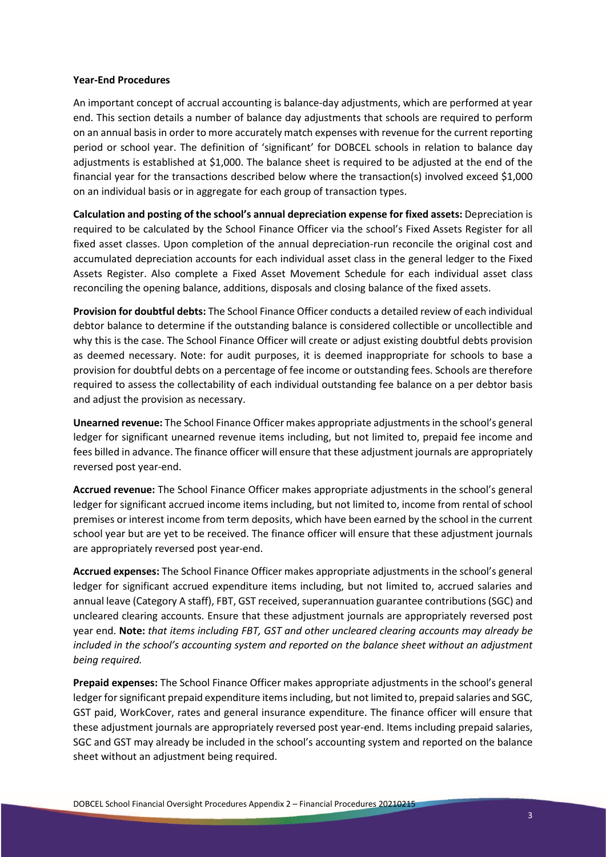#### **Year-End Procedures**

An important concept of accrual accounting is balance-day adjustments, which are performed at year end. This section details a number of balance day adjustments that schools are required to perform on an annual basis in order to more accurately match expenses with revenue for the current reporting period or school year. The definition of 'significant' for DOBCEL schools in relation to balance day adjustments is established at \$1,000. The balance sheet is required to be adjusted at the end of the financial year for the transactions described below where the transaction(s) involved exceed \$1,000 on an individual basis or in aggregate for each group of transaction types.

**Calculation and posting of the school's annual depreciation expense for fixed assets:** Depreciation is required to be calculated by the School Finance Officer via the school's Fixed Assets Register for all fixed asset classes. Upon completion of the annual depreciation-run reconcile the original cost and accumulated depreciation accounts for each individual asset class in the general ledger to the Fixed Assets Register. Also complete a Fixed Asset Movement Schedule for each individual asset class reconciling the opening balance, additions, disposals and closing balance of the fixed assets.

**Provision for doubtful debts:** The School Finance Officer conducts a detailed review of each individual debtor balance to determine if the outstanding balance is considered collectible or uncollectible and why this is the case. The School Finance Officer will create or adjust existing doubtful debts provision as deemed necessary. Note: for audit purposes, it is deemed inappropriate for schools to base a provision for doubtful debts on a percentage of fee income or outstanding fees. Schools are therefore required to assess the collectability of each individual outstanding fee balance on a per debtor basis and adjust the provision as necessary.

**Unearned revenue:** The School Finance Officer makes appropriate adjustments in the school's general ledger for significant unearned revenue items including, but not limited to, prepaid fee income and fees billed in advance. The finance officer will ensure that these adjustment journals are appropriately reversed post year-end.

**Accrued revenue:** The School Finance Officer makes appropriate adjustments in the school's general ledger for significant accrued income items including, but not limited to, income from rental of school premises or interest income from term deposits, which have been earned by the school in the current school year but are yet to be received. The finance officer will ensure that these adjustment journals are appropriately reversed post year-end.

**Accrued expenses:** The School Finance Officer makes appropriate adjustments in the school's general ledger for significant accrued expenditure items including, but not limited to, accrued salaries and annual leave (Category A staff), FBT, GST received, superannuation guarantee contributions (SGC) and uncleared clearing accounts. Ensure that these adjustment journals are appropriately reversed post year end. **Note:** *that items including FBT, GST and other uncleared clearing accounts may already be included in the school's accounting system and reported on the balance sheet without an adjustment being required.*

**Prepaid expenses:** The School Finance Officer makes appropriate adjustments in the school's general ledger for significant prepaid expenditure items including, but not limited to, prepaid salaries and SGC, GST paid, WorkCover, rates and general insurance expenditure. The finance officer will ensure that these adjustment journals are appropriately reversed post year-end. Items including prepaid salaries, SGC and GST may already be included in the school's accounting system and reported on the balance sheet without an adjustment being required.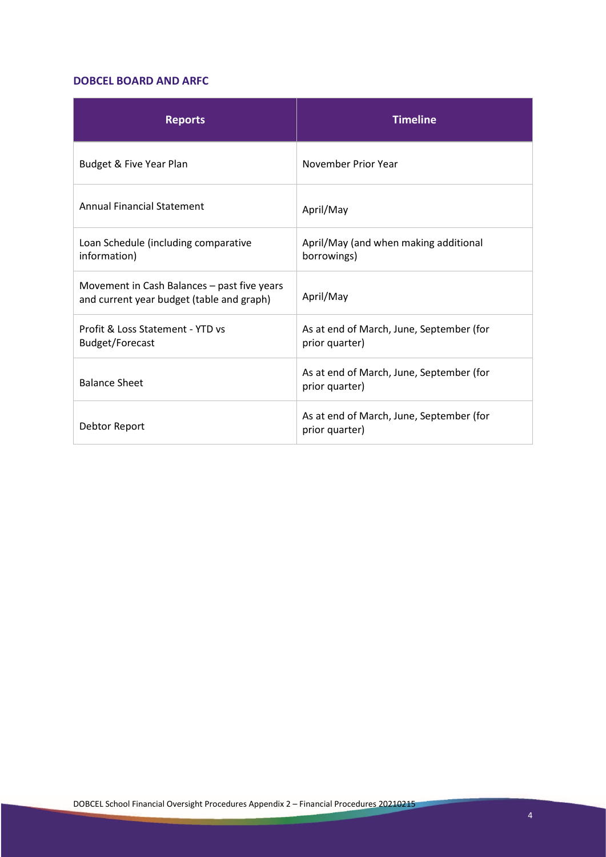## **DOBCEL BOARD AND ARFC**

| <b>Reports</b>                                                                           | <b>Timeline</b>                                            |
|------------------------------------------------------------------------------------------|------------------------------------------------------------|
| Budget & Five Year Plan                                                                  | November Prior Year                                        |
| <b>Annual Financial Statement</b>                                                        | April/May                                                  |
| Loan Schedule (including comparative<br>information)                                     | April/May (and when making additional<br>borrowings)       |
| Movement in Cash Balances - past five years<br>and current year budget (table and graph) | April/May                                                  |
| Profit & Loss Statement - YTD vs<br>Budget/Forecast                                      | As at end of March, June, September (for<br>prior quarter) |
| <b>Balance Sheet</b>                                                                     | As at end of March, June, September (for<br>prior quarter) |
| Debtor Report                                                                            | As at end of March, June, September (for<br>prior quarter) |